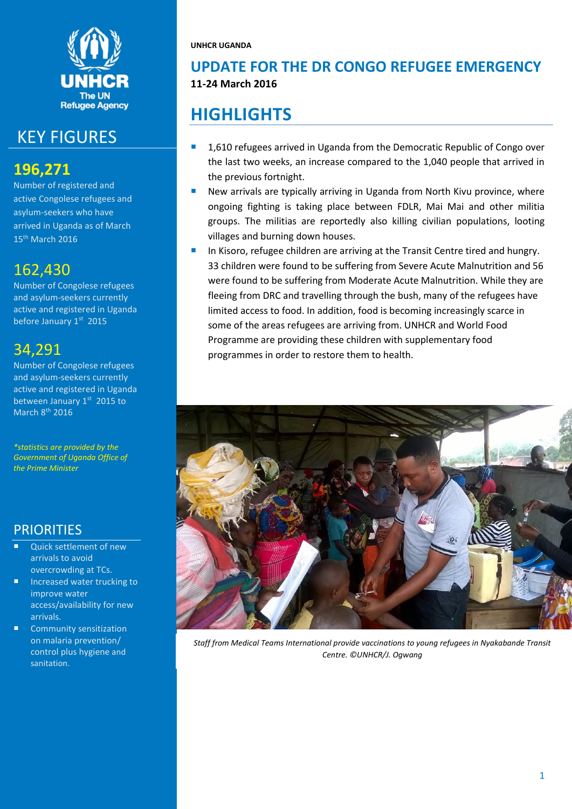

# KEY FIGURES

## **196,271**

Number of registered and active Congolese refugees and asylum-seekers who have arrived in Uganda as of March 15<sup>th</sup> March 2016

## 162,430

Number of Congolese refugees and asylum-seekers currently active and registered in Uganda before January 1st 2015

# 34,291

Number of Congolese refugees and asylum-seekers currently active and registered in Uganda between January 1st 2015 to March 8th 2016

*\*statistics are provided by the Government of Uganda Office of the Prime Minister*

## **PRIORITIES**

- Quick settlement of new arrivals to avoid overcrowding at TCs.
- Increased water trucking to improve water access/availability for new arrivals.
- Community sensitization on malaria prevention/ control plus hygiene and sanitation.

**UNHCR UGANDA**

## **UPDATE FOR THE DR CONGO REFUGEE EMERGENCY 11-24 March 2016**

# **HIGHLIGHTS**

- 1,610 refugees arrived in Uganda from the Democratic Republic of Congo over the last two weeks, an increase compared to the 1,040 people that arrived in the previous fortnight.
- New arrivals are typically arriving in Uganda from North Kivu province, where ongoing fighting is taking place between FDLR, Mai Mai and other militia groups. The militias are reportedly also killing civilian populations, looting villages and burning down houses.
- In Kisoro, refugee children are arriving at the Transit Centre tired and hungry. 33 children were found to be suffering from Severe Acute Malnutrition and 56 were found to be suffering from Moderate Acute Malnutrition. While they are fleeing from DRC and travelling through the bush, many of the refugees have limited access to food. In addition, food is becoming increasingly scarce in some of the areas refugees are arriving from. UNHCR and World Food Programme are providing these children with supplementary food programmes in order to restore them to health.



*Staff from Medical Teams International provide vaccinations to young refugees in Nyakabande Transit Centre. ©UNHCR/J. Ogwang*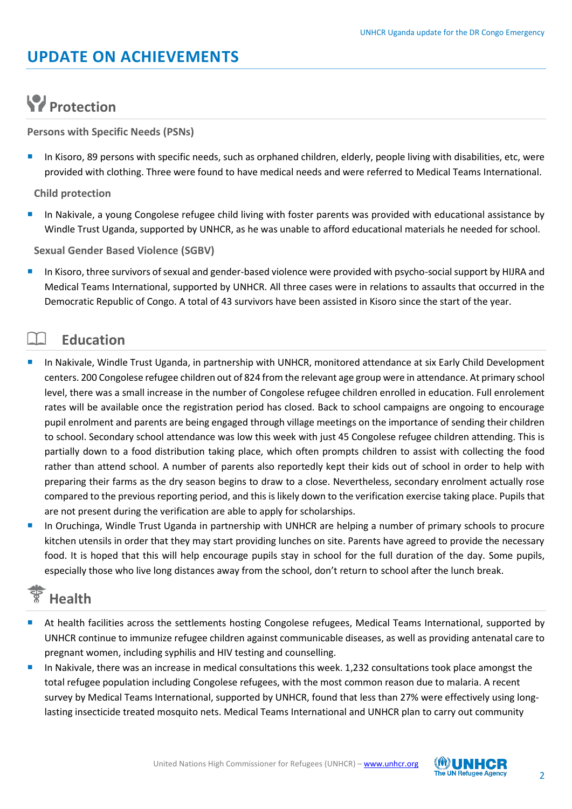# **UPDATE ON ACHIEVEMENTS**

# **Protection**

**Persons with Specific Needs (PSNs)**

 In Kisoro, 89 persons with specific needs, such as orphaned children, elderly, people living with disabilities, etc, were provided with clothing. Three were found to have medical needs and were referred to Medical Teams International.

**Child protection**

**In Nakivale, a young Congolese refugee child living with foster parents was provided with educational assistance by** Windle Trust Uganda, supported by UNHCR, as he was unable to afford educational materials he needed for school.

**Sexual Gender Based Violence (SGBV)**

 In Kisoro, three survivors of sexual and gender-based violence were provided with psycho-social support by HIJRA and Medical Teams International, supported by UNHCR. All three cases were in relations to assaults that occurred in the Democratic Republic of Congo. A total of 43 survivors have been assisted in Kisoro since the start of the year.

### **Education**

- In Nakivale, Windle Trust Uganda, in partnership with UNHCR, monitored attendance at six Early Child Development centers. 200 Congolese refugee children out of 824 from the relevant age group were in attendance. At primary school level, there was a small increase in the number of Congolese refugee children enrolled in education. Full enrolement rates will be available once the registration period has closed. Back to school campaigns are ongoing to encourage pupil enrolment and parents are being engaged through village meetings on the importance of sending their children to school. Secondary school attendance was low this week with just 45 Congolese refugee children attending. This is partially down to a food distribution taking place, which often prompts children to assist with collecting the food rather than attend school. A number of parents also reportedly kept their kids out of school in order to help with preparing their farms as the dry season begins to draw to a close. Nevertheless, secondary enrolment actually rose compared to the previous reporting period, and this is likely down to the verification exercise taking place. Pupils that are not present during the verification are able to apply for scholarships.
- In Oruchinga, Windle Trust Uganda in partnership with UNHCR are helping a number of primary schools to procure kitchen utensils in order that they may start providing lunches on site. Parents have agreed to provide the necessary food. It is hoped that this will help encourage pupils stay in school for the full duration of the day. Some pupils, especially those who live long distances away from the school, don't return to school after the lunch break.

## **Health**

- At health facilities across the settlements hosting Congolese refugees, Medical Teams International, supported by UNHCR continue to immunize refugee children against communicable diseases, as well as providing antenatal care to pregnant women, including syphilis and HIV testing and counselling.
- In Nakivale, there was an increase in medical consultations this week. 1,232 consultations took place amongst the total refugee population including Congolese refugees, with the most common reason due to malaria. A recent survey by Medical Teams International, supported by UNHCR, found that less than 27% were effectively using longlasting insecticide treated mosquito nets. Medical Teams International and UNHCR plan to carry out community

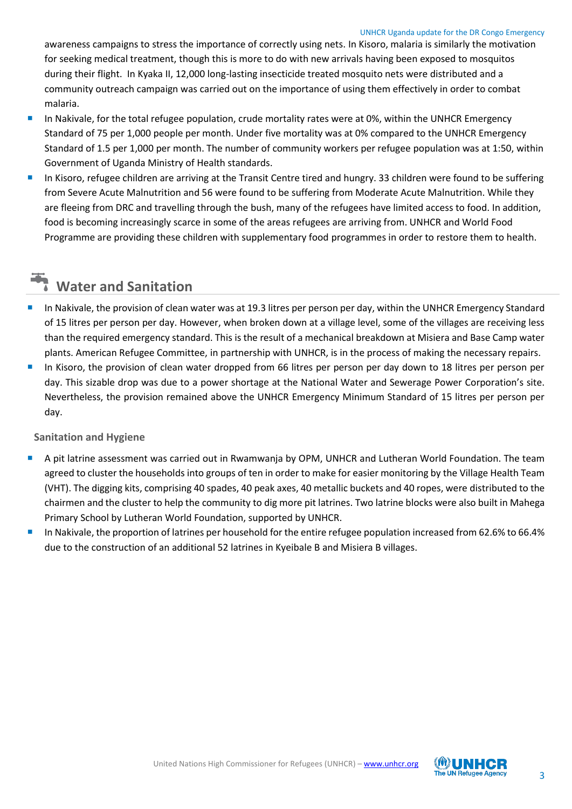#### UNHCR Uganda update for the DR Congo Emergency

awareness campaigns to stress the importance of correctly using nets. In Kisoro, malaria is similarly the motivation for seeking medical treatment, though this is more to do with new arrivals having been exposed to mosquitos during their flight. In Kyaka II, 12,000 long-lasting insecticide treated mosquito nets were distributed and a community outreach campaign was carried out on the importance of using them effectively in order to combat malaria.

- In Nakivale, for the total refugee population, crude mortality rates were at 0%, within the UNHCR Emergency Standard of 75 per 1,000 people per month. Under five mortality was at 0% compared to the UNHCR Emergency Standard of 1.5 per 1,000 per month. The number of community workers per refugee population was at 1:50, within Government of Uganda Ministry of Health standards.
- In Kisoro, refugee children are arriving at the Transit Centre tired and hungry. 33 children were found to be suffering from Severe Acute Malnutrition and 56 were found to be suffering from Moderate Acute Malnutrition. While they are fleeing from DRC and travelling through the bush, many of the refugees have limited access to food. In addition, food is becoming increasingly scarce in some of the areas refugees are arriving from. UNHCR and World Food Programme are providing these children with supplementary food programmes in order to restore them to health.

# **Water and Sanitation**

- In Nakivale, the provision of clean water was at 19.3 litres per person per day, within the UNHCR Emergency Standard of 15 litres per person per day. However, when broken down at a village level, some of the villages are receiving less than the required emergency standard. This is the result of a mechanical breakdown at Misiera and Base Camp water plants. American Refugee Committee, in partnership with UNHCR, is in the process of making the necessary repairs.
- In Kisoro, the provision of clean water dropped from 66 litres per person per day down to 18 litres per person per day. This sizable drop was due to a power shortage at the National Water and Sewerage Power Corporation's site. Nevertheless, the provision remained above the UNHCR Emergency Minimum Standard of 15 litres per person per day.

#### **Sanitation and Hygiene**

- A pit latrine assessment was carried out in Rwamwanja by OPM, UNHCR and Lutheran World Foundation. The team agreed to cluster the households into groups of ten in order to make for easier monitoring by the Village Health Team (VHT). The digging kits, comprising 40 spades, 40 peak axes, 40 metallic buckets and 40 ropes, were distributed to the chairmen and the cluster to help the community to dig more pit latrines. Two latrine blocks were also built in Mahega Primary School by Lutheran World Foundation, supported by UNHCR.
- In Nakivale, the proportion of latrines per household for the entire refugee population increased from 62.6% to 66.4% due to the construction of an additional 52 latrines in Kyeibale B and Misiera B villages.